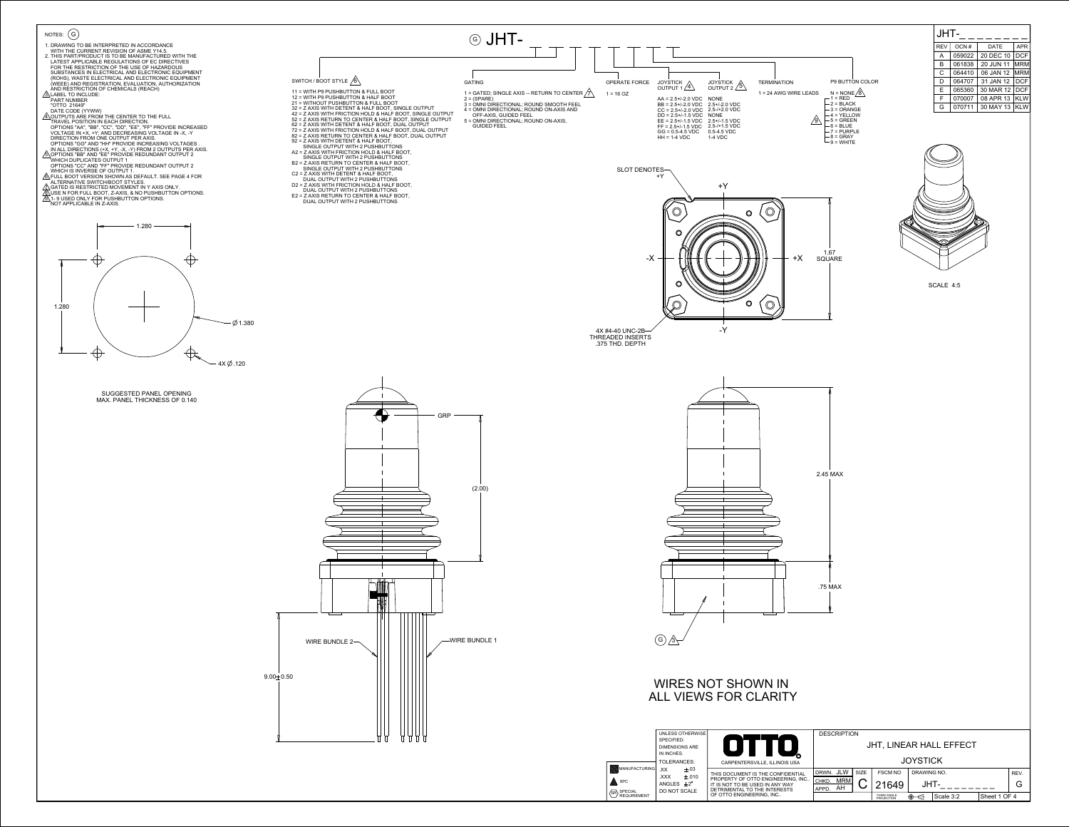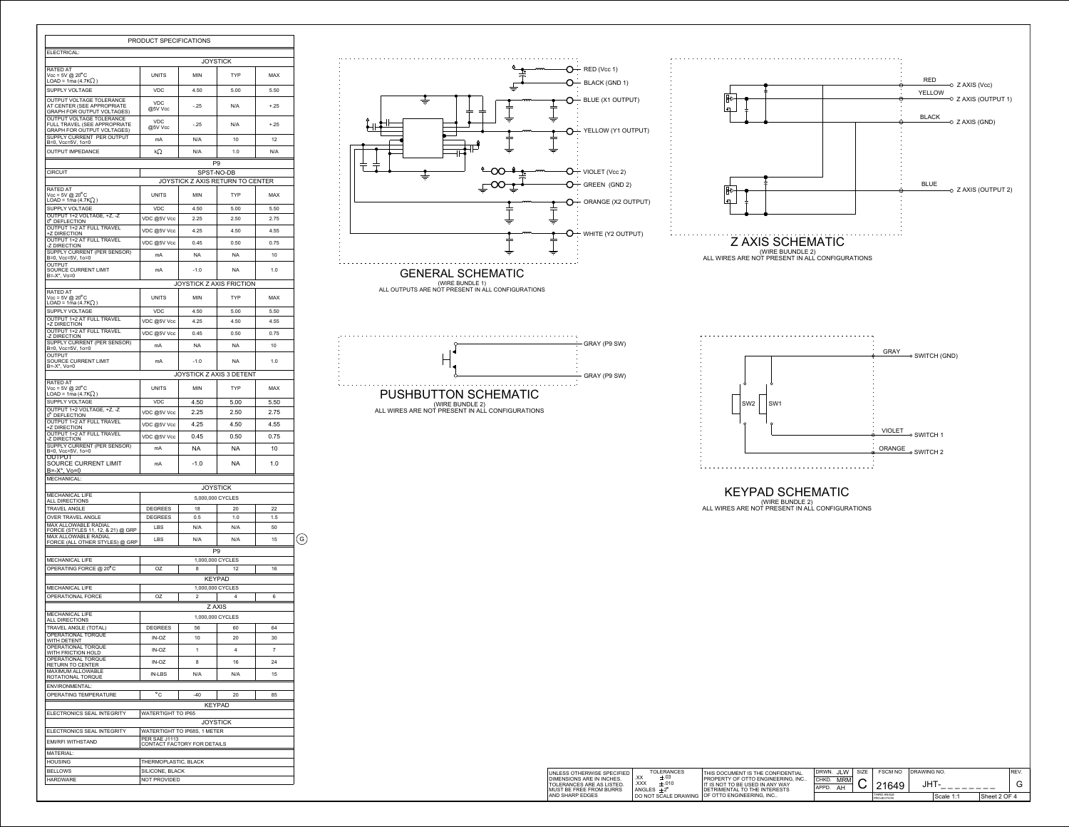|                                                                                                      | PRODUCT SPECIFICATIONS    |                              |                                    |                   |   |  |  |
|------------------------------------------------------------------------------------------------------|---------------------------|------------------------------|------------------------------------|-------------------|---|--|--|
| ELECTRICAL:                                                                                          |                           |                              |                                    |                   |   |  |  |
| RATED AT                                                                                             |                           |                              | <b>JOYSTICK</b>                    |                   |   |  |  |
| $Vcc = 5V$ @ 20 $^{\circ}$ C<br>$LOAD = 1ma(4.7K2)$                                                  | <b>UNITS</b>              | <b>MIN</b>                   | TYP                                | MAX               |   |  |  |
| <b>SUPPLY VOLTAGE</b><br>OUTPUT VOLTAGE TOLERANCE                                                    | <b>VDC</b>                | 4.50                         | 5.00                               | 5.50              |   |  |  |
| AT CENTER (SEE APPROPRIATE<br>GRAPH FOR OUTPUT VOLTAGES)                                             | <b>VDC</b><br>@5V Vcc     | -.25                         | N/A                                | $+.25$            |   |  |  |
| <b>OUTPUT VOLTAGE TOLERANCE</b><br>FULL TRAVEL (SEE APPROPRIATE<br><b>GRAPH FOR OUTPUT VOLTAGES)</b> | <b>VDC</b><br>@5V Vcc     | $-.25$                       | N/A                                | $+.25$            |   |  |  |
| SUPPLY CURRENT PER OUTPUT<br>B=0, Vcc=5V, 1o=0                                                       | mA                        | N/A                          | 10                                 | $12 \overline{ }$ |   |  |  |
| <b>OUTPUT IMPEDANCE</b>                                                                              | kΩ                        | N/A                          | 1.0                                | N/A               |   |  |  |
| <b>CIRCUIT</b>                                                                                       |                           |                              | P <sub>9</sub><br>SPST-NO-DB       |                   |   |  |  |
|                                                                                                      |                           |                              | JOYSTICK Z AXIS RETURN TO CENTER   |                   |   |  |  |
| RATED AT<br>$Vcc = 5V$ @ 20 $^{\circ}$ C<br>LOAD = 1ma (4.7K $\Omega$ )                              | <b>UNITS</b>              | <b>MIN</b>                   | TYP                                | MAX               |   |  |  |
| SUPPLY VOLTAGE                                                                                       | <b>VDC</b>                | 4.50                         | 5.00                               | 5.50              |   |  |  |
| OUTPUT 1+2 VOLTAGE. +Z. -Z<br>0° DEFLECTION                                                          | VDC @5V Vcc               | 2.25                         | 2.50                               | 2.75              |   |  |  |
| <b>OUTPUT 1+2 AT FULL TRAVEL</b><br>+Z DIRECTION                                                     | VDC @5V Vcc               | 4.25                         | 4.50                               | 4.55              |   |  |  |
| <b>OUTPUT 1+2 AT FULL TRAVEL</b><br>-Z DIRECTION                                                     | VDC @5V Vcc               | 0.45                         | 0.50                               | 0.75              |   |  |  |
| SUPPLY CURRENT (PER SENSOR)<br>B=0, Vcc=5V, 1o=0                                                     | mA                        | NA.                          | NA.                                | 10                |   |  |  |
| <b>OUTPUT</b><br>SOURCE CURRENT LIMIT<br>B=-X*, Vo=0                                                 | mA                        | $-1.0$                       | NA.                                | 1.0               |   |  |  |
|                                                                                                      |                           |                              | <b>JOYSTICK Z AXIS FRICTION</b>    |                   |   |  |  |
| RATED AT<br>$Vcc = 5V \text{ @ } 20^{\circ}$ C                                                       | <b>UNITS</b>              | <b>MIN</b>                   | <b>TYP</b>                         | <b>MAX</b>        |   |  |  |
| LOAD = 1ma (4.7K $\Omega$ )<br><b>SUPPLY VOLTAGE</b>                                                 | <b>VDC</b>                | 4.50                         | 5.00                               | 5.50              |   |  |  |
| <b>OUTPUT 1+2 AT FULL TRAVEL</b><br>+Z DIRECTION                                                     | VDC @5V Vcc               | 4.25                         | 4.50                               | 4.55              |   |  |  |
| OUTPUT 1+2 AT FULL TRAVEL                                                                            | VDC @5V Vcc               | 0.45                         | 0.50                               | 0.75              |   |  |  |
| -Z DIRECTION<br>SUPPLY CURRENT (PER SENSOR)<br>B=0, Vcc=5V, 1o=0                                     | mA                        | <b>NA</b>                    | <b>NA</b>                          | 10                |   |  |  |
| <b>OUTPUT</b><br>SOURCE CURRENT LIMIT                                                                | mA                        | $-1.0$                       | NA.                                | 1.0               |   |  |  |
| B=-X*, Vo=0                                                                                          |                           |                              | JOYSTICK Z AXIS 3 DETENT           |                   |   |  |  |
| RATED AT<br>$Vcc = 5V \text{ @ } 20^{\circ}$ C<br>$LOAD = 1ma(4.7K2)$                                | <b>UNITS</b>              | MIN                          | <b>TYP</b>                         | <b>MAX</b>        |   |  |  |
| SUPPLY VOLTAGE                                                                                       | <b>VDC</b>                | 4.50                         | 5.00                               | 5.50              |   |  |  |
| OUTPUT 1+2 VOLTAGE, +Z, -Z<br>0° DEFLECTION                                                          | VDC @5V Vcc               | 2.25                         | 2.50                               | 2.75              |   |  |  |
| <b>OUTPUT 1+2 AT FULL TRAVEL</b><br>+Z DIRECTION<br>OUTPUT 1+2 AT FULL TRAVEL                        | VDC @5V Vcc               | 4.25                         | 4.50                               | 4.55              |   |  |  |
| -Z DIRECTION<br>SUPPLY CURRENT (PER SENSOR)                                                          | VDC @5V Vcc               | 0.45                         | 0.50                               | 0.75              |   |  |  |
| B=0, Vcc=5V, 1o=0<br>OUTPUT                                                                          | mA                        | NA.                          | NA.                                | 10                |   |  |  |
| SOURCE CURRENT LIMIT<br>$B = -X^*$ , $V_0 = 0$                                                       | mA                        | -1.0                         | NA.                                | 1.0               |   |  |  |
| MECHANICAL:                                                                                          |                           |                              | <b>JOYSTICK</b>                    |                   |   |  |  |
| <b>MECHANICAL LIFE</b><br><b>ALL DIRECTIONS</b>                                                      |                           |                              | 5,000,000 CYCLES                   |                   |   |  |  |
| <b>TRAVEL ANGLE</b>                                                                                  | <b>DEGREES</b>            | 18                           | 20                                 | 22                |   |  |  |
| <b>OVER TRAVEL ANGLE</b>                                                                             | <b>DEGREES</b>            | 0.5                          | 1.0                                | 1.5               |   |  |  |
| <b>MAX ALLOWABLE RADIAL</b><br>FORCE (STYLES 11, 12, & 21) @ GRP                                     | <b>LBS</b>                | N/A                          | N/A                                | 50                |   |  |  |
| <b>MAX ALLOWABLE RADIAL</b><br>FORCE (ALL OTHER STYLES) @ GRP                                        | <b>LBS</b>                | N/A                          | N/A                                | 15                | G |  |  |
| <b>MECHANICAL LIFE</b>                                                                               |                           |                              | P <sub>9</sub><br>1,000,000 CYCLES |                   |   |  |  |
| OPERATING FORCE @ 20°C                                                                               | 0Z                        | 8                            | 12                                 | 16                |   |  |  |
|                                                                                                      |                           |                              | <b>KEYPAD</b>                      |                   |   |  |  |
| <b>MECHANICAL LIFE</b>                                                                               |                           |                              | 1,000,000 CYCLES                   |                   |   |  |  |
| OPERATIONAL FORCE                                                                                    | OZ                        | $\overline{2}$               | 4<br>Z AXIS                        | 6                 |   |  |  |
| <b>MECHANICAL LIFE</b>                                                                               |                           |                              | 1,000,000 CYCLES                   |                   |   |  |  |
| ALL DIRECTIONS<br><b>TRAVEL ANGLE (TOTAL)</b>                                                        | <b>DEGREES</b>            | 56                           | 60                                 | 64                |   |  |  |
| OPERATIONAL TORQUE<br>WITH DETENT                                                                    | IN-OZ                     | 10                           | 20                                 | 30                |   |  |  |
| OPERATIONAL TORQUE<br>WITH FRICTION HOLD                                                             | $IN-OZ$                   | $\mathbf{1}$                 | 4                                  | $\overline{7}$    |   |  |  |
| <b>OPERATIONAL TORQUE</b><br>RETURN TO CENTER                                                        | IN-OZ                     | 8                            | 16                                 | 24                |   |  |  |
| MAXIMUM ALLOWABLE<br>ROTATIONAL TORQUE                                                               | <b>IN-LBS</b>             | N/A                          | N/A                                | 15                |   |  |  |
| ENVIRONMENTAL:<br>OPERATING TEMPERATURE                                                              | °C                        | -40                          | 20                                 | 85                |   |  |  |
|                                                                                                      |                           |                              | <b>KEYPAD</b>                      |                   |   |  |  |
| ELECTRONICS SEAL INTEGRITY                                                                           | <b>WATERTIGHT TO IP65</b> |                              | <b>JOYSTICK</b>                    |                   |   |  |  |
| ELECTRONICS SEAL INTEGRITY                                                                           |                           | WATERTIGHT TO IP68S, 1 METER |                                    |                   |   |  |  |
| EMI/RFI WITHSTAND                                                                                    | <b>PER SAE J1113</b>      | CONTACT FACTORY FOR DETAILS  |                                    |                   |   |  |  |
| <b>MATERIAL:</b><br><b>HOUSING</b>                                                                   | THERMOPLASTIC, BLACK      |                              |                                    |                   |   |  |  |
| <b>BELLOWS</b>                                                                                       | SILICONE, BLACK           |                              |                                    |                   |   |  |  |
| HARDWARE                                                                                             | NOT PROVIDED              |                              |                                    |                   |   |  |  |



GRAY (P9 SW) <u>. . . . . . . . . . . .</u> PUSHBUTTON SCHEMATIC (WIRE BUNDLE 2)

ALL WIRES ARE NOT PRESENT IN ALL CONFIGURATIONS

KEYPAD SCHEMATIC



(WIRE BUNDLE 2) ALL WIRES ARE NOT PRESENT IN ALL CONFIGURATIONS

| UNLESS OTHERWISE SPECIFIED                                                        | <b>TOLERANCES</b>                                                | <b>THIS DOCUMENT IS THE CONFIDENTIAL</b>                                                                               | JLW<br>DRWN.                               | <b>SIZE</b> | <b>FSCM NO</b>            | <b>IDRAWING NO.</b> |           |              | <sup>1</sup> REV. |
|-----------------------------------------------------------------------------------|------------------------------------------------------------------|------------------------------------------------------------------------------------------------------------------------|--------------------------------------------|-------------|---------------------------|---------------------|-----------|--------------|-------------------|
| DIMENSIONS ARE IN INCHES.<br>TOLERANCES ARE AS LISTED.<br>MUST BE FREE FROM BURRS | .XX<br>$\pm .03$<br>.XXX<br>$\pm .010$<br>ANGLES $\pm 2^{\circ}$ | <b>I PROPERTY OF OTTO ENGINEERING. INC</b><br>LIT IS NOT TO BE USED IN ANY WAY<br><b>IDETRIMENTAL TO THE INTERESTS</b> | <b>MRM</b><br>I CHKD.<br>ΑH<br><b>APPD</b> |             | 21649                     | JHT                 |           |              |                   |
| AND SHARP EDGES                                                                   |                                                                  | <sup>I</sup> DO NOT SCALE DRAWING OF OTTO ENGINEERING, INC                                                             |                                            |             | THIRD ANGLE<br>PROJECTION |                     | Scale 1:1 | Sheet 2 OF 4 |                   |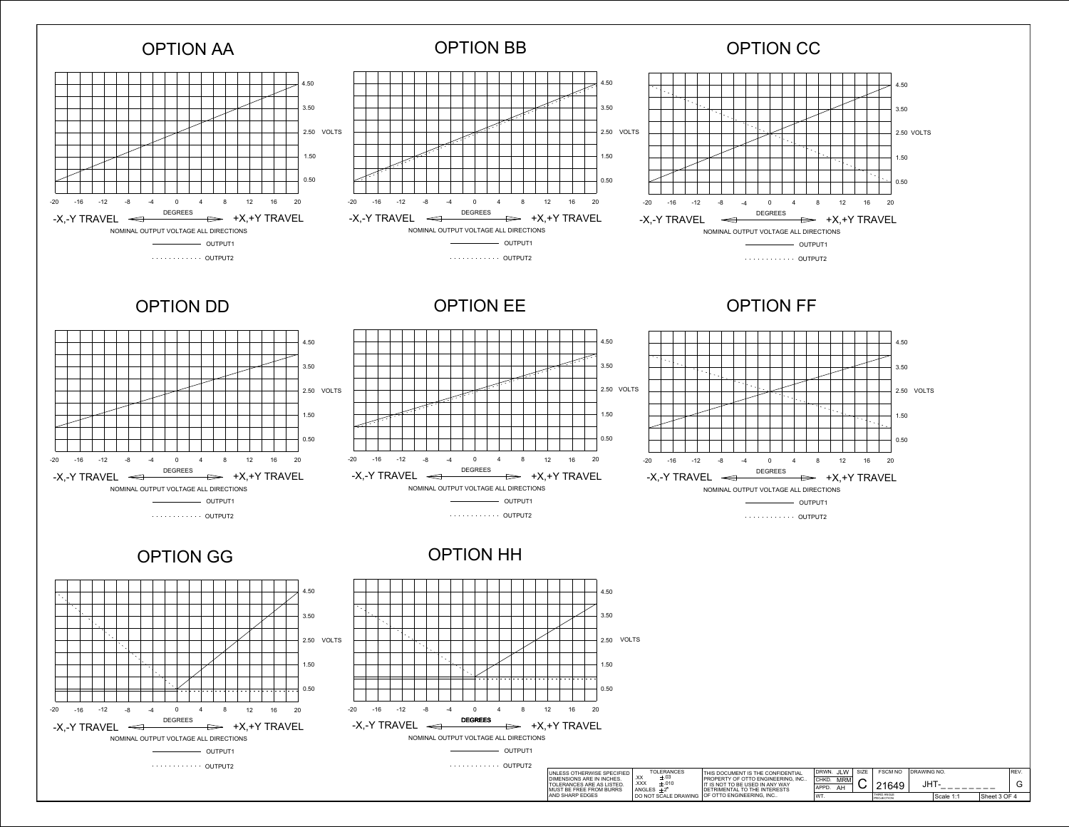

**OUTPUT1** 

........... OUTPUT2

. . . . . . . . . . . . . OUTPUT2

OUTPUT1

DIMENSIONS ARE IN INCHES. TOLERANCES ARE AS LISTED. MUST BE FREE FROM BURRS AND SHARP EDGES

| 1.50                                                                              |                                         |                                                                                                      |                                 |                |             |      |
|-----------------------------------------------------------------------------------|-----------------------------------------|------------------------------------------------------------------------------------------------------|---------------------------------|----------------|-------------|------|
| المستمرات والمستمرات والمستحد<br>0.50                                             |                                         |                                                                                                      |                                 |                |             |      |
| 20<br>16                                                                          |                                         |                                                                                                      |                                 |                |             |      |
| <b>+Y TRAVEL</b>                                                                  |                                         |                                                                                                      |                                 |                |             |      |
|                                                                                   |                                         |                                                                                                      |                                 |                |             |      |
|                                                                                   |                                         |                                                                                                      |                                 |                |             |      |
| UNLESS OTHERWISE SPECIFIED                                                        | <b>TOLERANCES</b><br>.XX<br>$\pm .03$   | THIS DOCUMENT IS THE CONFIDENTIAL                                                                    | DRWN. JLW<br>SIZE               | <b>FSCM NO</b> | DRAWING NO. | REV. |
| DIMENSIONS ARE IN INCHES.<br>TOLERANCES ARE AS LISTED.<br>MUST BE FREE FROM BURRS | XXX.<br>±.010<br>ANGLES $\pm 2^{\circ}$ | PROPERTY OF OTTO ENGINEERING, INC<br>IT IS NOT TO BE USED IN ANY WAY<br>DETRIMENTAL TO THE INTERESTS | <b>MRM</b><br>CHKD.<br>APPD. AH | 21649          | JHT-        | G    |
|                                                                                   |                                         |                                                                                                      |                                 |                |             |      |

WT. THIRD ANGLE

 $\vert$ Scale 1:1  $\vert$ Sheet 3 OF 4

DO NOT SCALE DRAWING OF OTTO ENGINEERING, INC..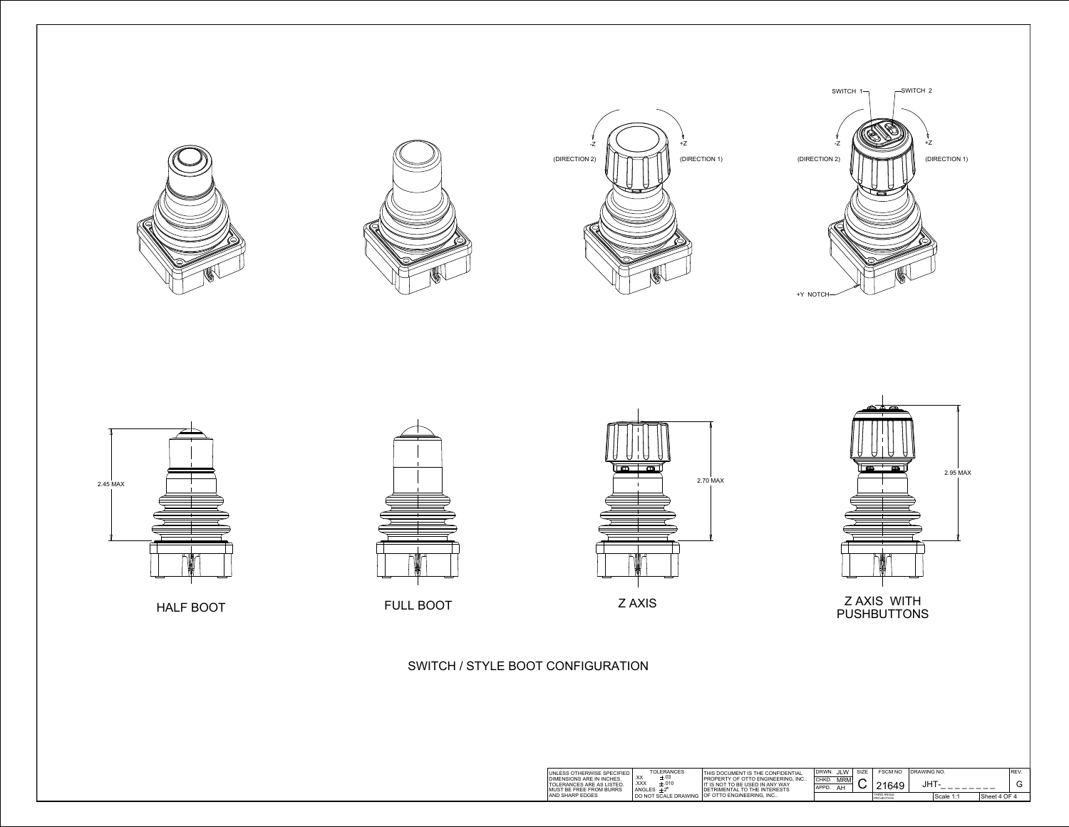



HALF BOOT FULL BOOT THE EXAMPLE AND THE EXAMPLE BOOT





| SPECIFIED                | <b>TOLERANCES</b><br>$\vee\vee$                        | THIS DOCUMENT IS THE CONFIDENTIAL                                                                          | DRWN.          | JLW       | <b>SIZE</b> | <b>FSCM NO</b><br><b>IDRAWING NO.</b> |  |           |              | ' REV |
|--------------------------|--------------------------------------------------------|------------------------------------------------------------------------------------------------------------|----------------|-----------|-------------|---------------------------------------|--|-----------|--------------|-------|
| ICHES<br>LISTED<br>BURRS | $\pm .03$<br>⌒⌒<br>XXX<br>±.010<br>ANGLES $+2^{\circ}$ | I PROPERTY OF OTTO ENGINEERING. INC<br>l IT IS NOT TO BE USED IN ANY WAY<br>I DETRIMENTAL TO THE INTERESTS | CHKD.<br>APPD. | MRM<br>AH |             | 21649                                 |  |           |              |       |
|                          |                                                        | I DO NOT SCALE DRAWING OF OTTO ENGINEERING, INC                                                            |                |           |             | THIRD ANGLE<br><b>PROJECTION</b>      |  | Scale 1:1 | Sheet 4 OF 4 |       |

SWITCH / STYLE BOOT CONFIGURATION









## Z AXIS WITH PUSHBUTTONS